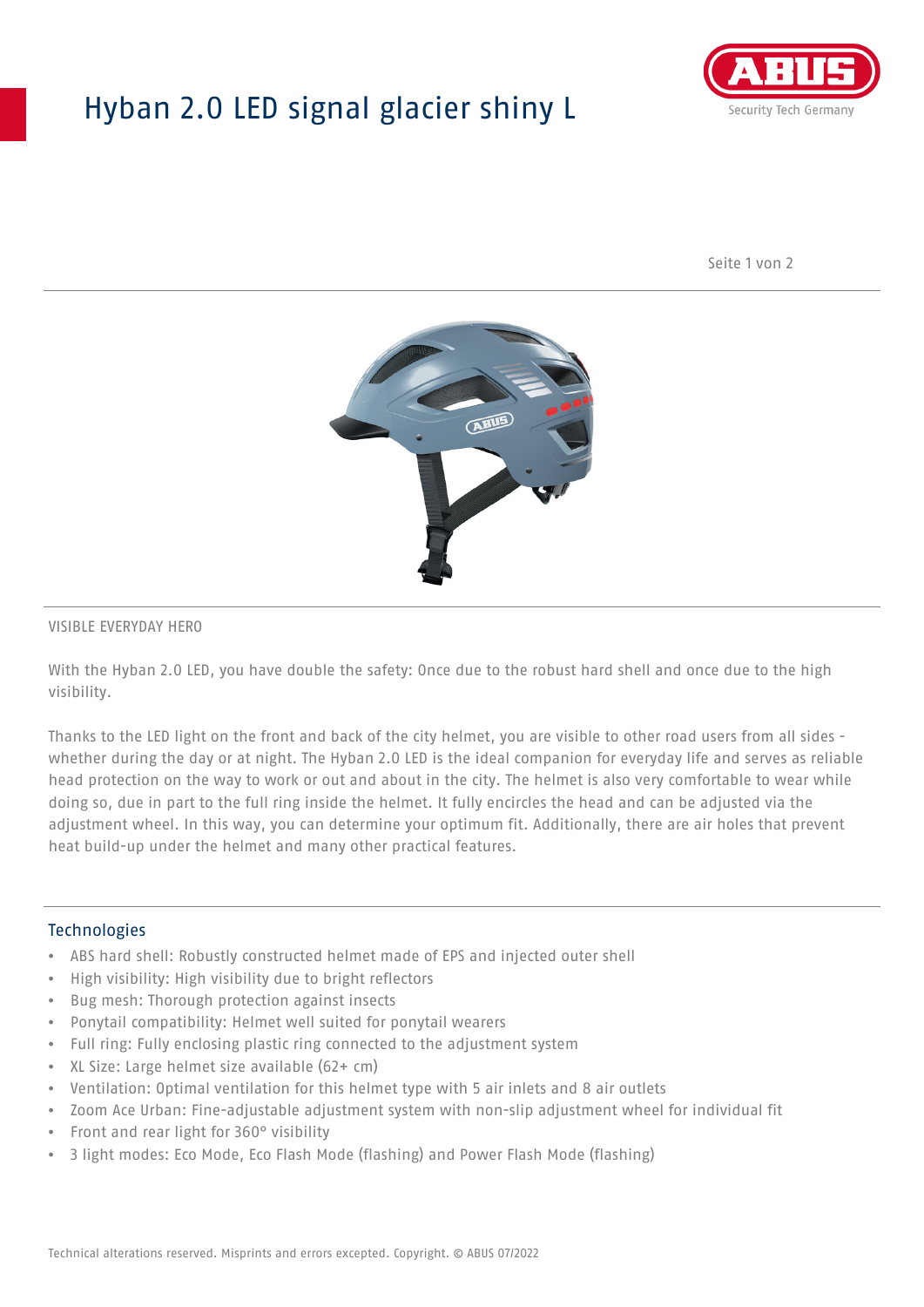## Hyban 2.0 LED signal glacier shiny L



Seite 1 von 2



#### VISIBLE EVERYDAY HERO

With the Hyban 2.0 LED, you have double the safety: Once due to the robust hard shell and once due to the high visibility.

Thanks to the LED light on the front and back of the city helmet, you are visible to other road users from all sides whether during the day or at night. The Hyban 2.0 LED is the ideal companion for everyday life and serves as reliable head protection on the way to work or out and about in the city. The helmet is also very comfortable to wear while doing so, due in part to the full ring inside the helmet. It fully encircles the head and can be adjusted via the adjustment wheel. In this way, you can determine your optimum fit. Additionally, there are air holes that prevent heat build-up under the helmet and many other practical features.

#### Technologies

- ABS hard shell: Robustly constructed helmet made of EPS and injected outer shell
- High visibility: High visibility due to bright reflectors
- Bug mesh: Thorough protection against insects
- Ponytail compatibility: Helmet well suited for ponytail wearers
- Full ring: Fully enclosing plastic ring connected to the adjustment system
- XL Size: Large helmet size available (62+ cm)
- Ventilation: Optimal ventilation for this helmet type with 5 air inlets and 8 air outlets
- Zoom Ace Urban: Fine-adjustable adjustment system with non-slip adjustment wheel for individual fit
- Front and rear light for 360° visibility
- 3 light modes: Eco Mode, Eco Flash Mode (flashing) and Power Flash Mode (flashing)